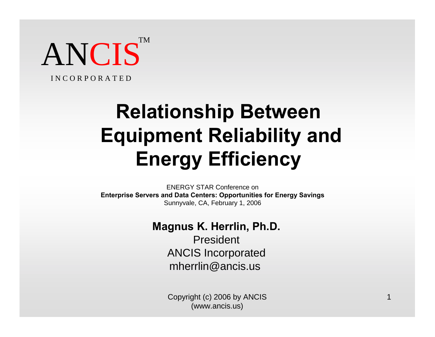ANCIS<sup>T</sup> TM

I N C O R P O R A T E D

# **Relationship Between Equipment Reliability and Energy Efficiency**

ENERGY STAR Conference on **Enterprise Servers and Data Centers: Opportunities for Energy Savings** Sunnyvale, CA, February 1, 2006

#### **Magnus K. Herrlin, Ph.D.**

President ANCIS Incorporated mherrlin@ancis.us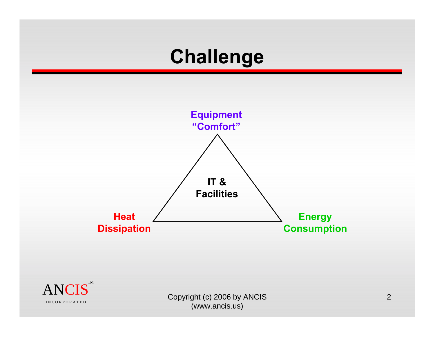### **Challenge**



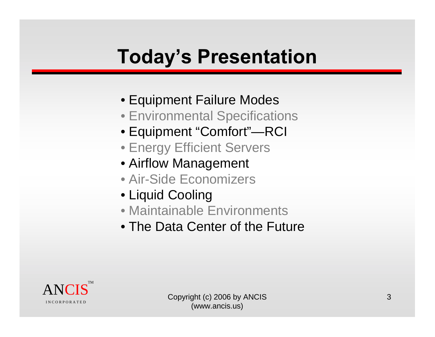# **Today's Presentation**

- Equipment Failure Modes
- Environmental Specifications
- Equipment "Comfort"—RCI
- Energy Efficient Servers
- Airflow Management
- Air-Side Economizers
- Liquid Cooling
- Maintainable Environments
- The Data Center of the Future

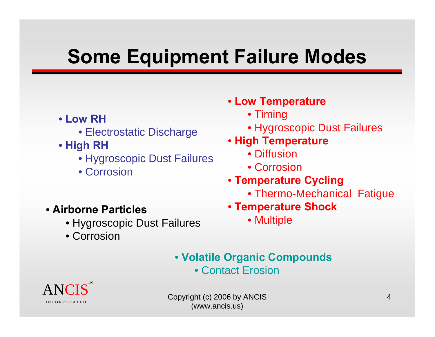# **Some Equipment Failure Modes**

- **Low RH**
	- Electrostatic Discharge
- **High RH**
	- Hygroscopic Dust Failures
	- Corrosion
- **Low Temperature**
	- Timing
	- Hygroscopic Dust Failures
- **High Temperature**
	- Diffusion
	- Corrosion
- **Temperature Cycling**
	- Thermo-Mechanical Fatigue
- **Temperature Shock**
	- Multiple
- **Airborne Particles**
	- Hygroscopic Dust Failures
	- Corrosion

- **Volatile Organic Compounds**
	- Contact Erosion

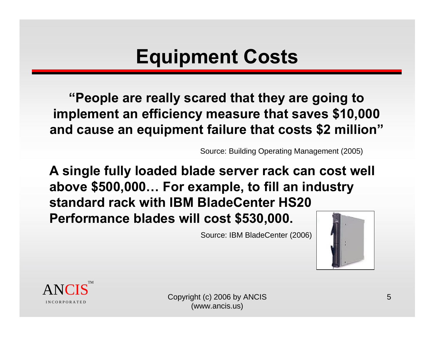# **Equipment Costs**

**"People are really scared that they are going to implement an efficiency measure that saves \$10,000 and cause an equipment failure that costs \$2 million"** 

Source: Building Operating Management (2005)

**A single fully loaded blade server rack can cost well above \$500,000… For example, to fill an industry standard rack with IBM BladeCenter HS20 Performance blades will cost \$530,000.**

Source: IBM BladeCenter (2006)



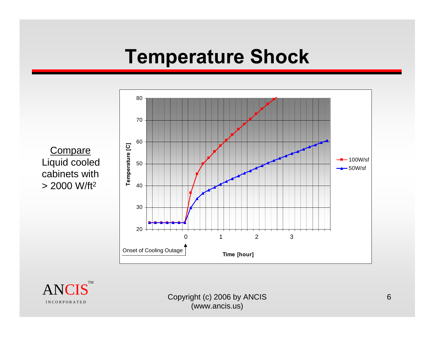#### **Temperature Shock**

**Compare** Liquid cooled cabinets with > 2000 W/ft2



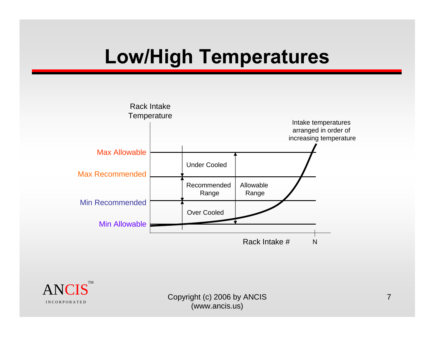# **Low/High Temperatures**



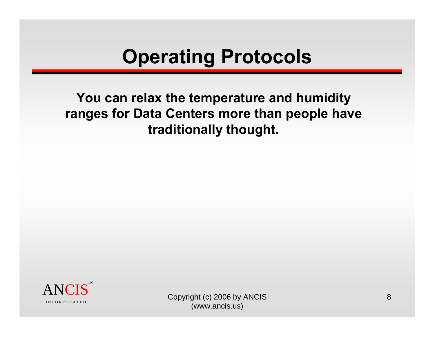# **Operating Protocols**

**You can relax the temperature and humidity ranges for Data Centers more than people have traditionally thought.** 

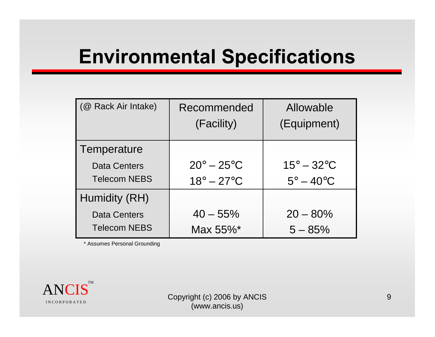### **Environmental Specifications**

| (@ Rack Air Intake) | Recommended<br>(Facility)      | Allowable<br>(Equipment) |
|---------------------|--------------------------------|--------------------------|
|                     |                                |                          |
| Temperature         |                                |                          |
| <b>Data Centers</b> | $20^\circ - 25^\circ \text{C}$ | $15^\circ - 32^\circ C$  |
| <b>Telecom NEBS</b> | $18^\circ - 27^\circ C$        | $5^\circ - 40^\circ C$   |
| Humidity (RH)       |                                |                          |
| <b>Data Centers</b> | $40 - 55\%$                    | $20 - 80\%$              |
| <b>Telecom NEBS</b> | Max 55%*                       | $5 - 85%$                |

\* Assumes Personal Grounding

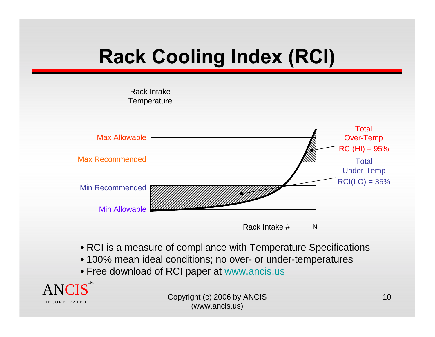# **Rack Cooling Index (RCI)**



- RCI is a measure of compliance with Temperature Specifications
- 100% mean ideal conditions; no over- or under-temperatures
- Free download of RCI paper at www.ancis.us

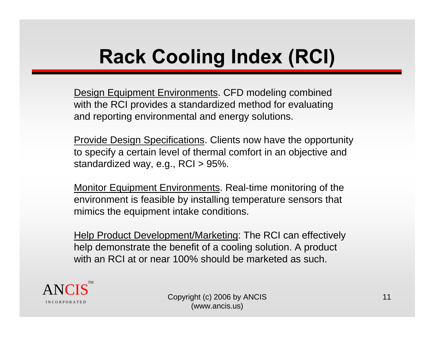# **Rack Cooling Index (RCI)**

Design Equipment Environments. CFD modeling combined with the RCI provides a standardized method for evaluating and reporting environmental and energy solutions.

**Provide Design Specifications. Clients now have the opportunity** to specify a certain level of thermal comfort in an objective and standardized way, e.g., RCI > 95%.

Monitor Equipment Environments. Real-time monitoring of the environment is feasible by installing temperature sensors that mimics the equipment intake conditions.

Help Product Development/Marketing: The RCI can effectively help demonstrate the benefit of a cooling solution. A product with an RCI at or near 100% should be marketed as such.

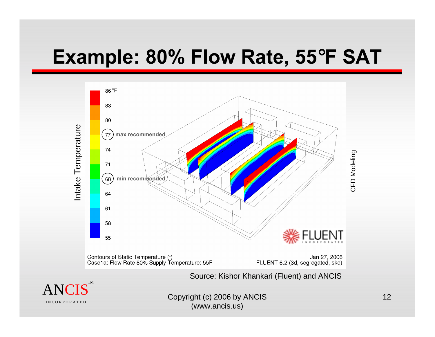### **Example: 80% Flow Rate, 55**°**F SAT**



Source: Kishor Khankari (Fluent) and ANCIS

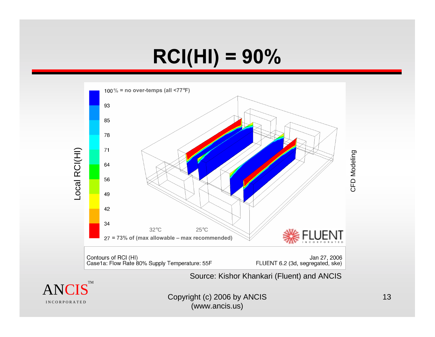# **RCI(HI) = 90%**



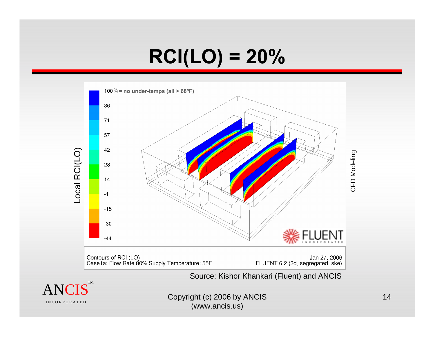# **RCI(LO) = 20%**



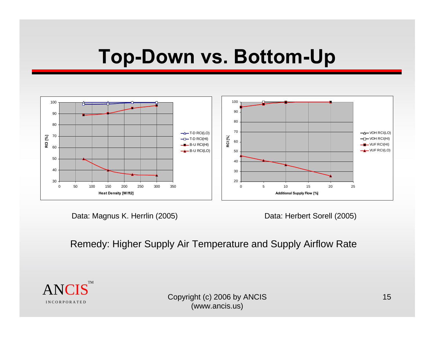#### **Top-Down vs. Bottom-Up**



Data: Magnus K. Herrlin (2005)

Data: Herbert Sorell (2005)

Remedy: Higher Supply Air Temperature and Supply Airflow Rate

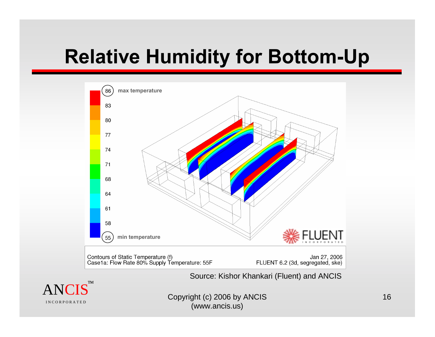# **Relative Humidity for Bottom-Up**



Source: Kishor Khankari (Fluent) and ANCIS

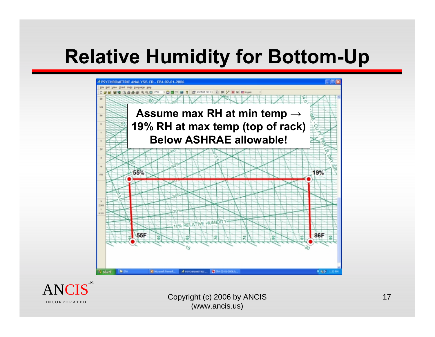# **Relative Humidity for Bottom-Up**





 $\operatorname{ANCIS}$   $\qquad \qquad \text{Copyright (c) 2006 by ANCIS}$   $\qquad \qquad \text{17}$ (www.ancis.us)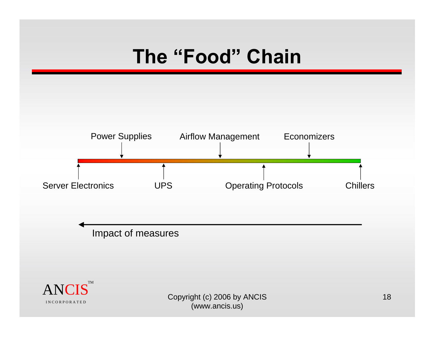# **The "Food" Chain**

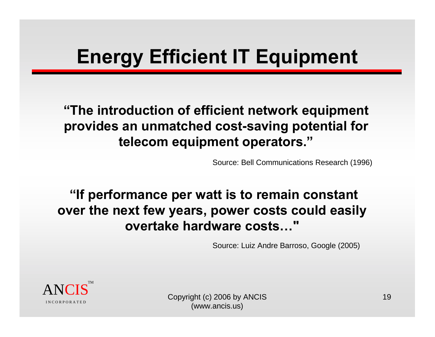# **Energy Efficient IT Equipment**

**"The introduction of efficient network equipment provides an unmatched cost-saving potential for telecom equipment operators."**

Source: Bell Communications Research (1996)

**"If performance per watt is to remain constant over the next few years, power costs could easily overtake hardware costs…"** 

Source: Luiz Andre Barroso, Google (2005)



(www.ancis.us)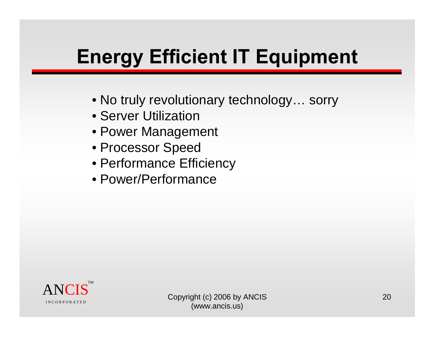# **Energy Efficient IT Equipment**

- No truly revolutionary technology… sorry
- Server Utilization
- Power Management
- Processor Speed
- Performance Efficiency
- Power/Performance

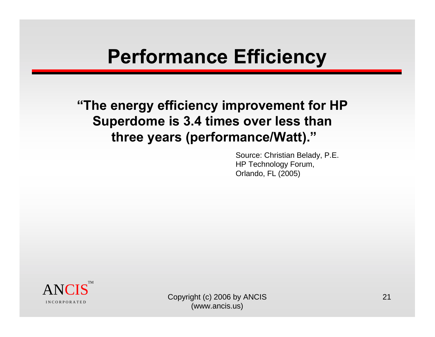#### **Performance Efficiency**

**"The energy efficiency improvement for HP Superdome is 3.4 times over less than three years (performance/Watt)."**

> Source: Christian Belady, P.E. HP Technology Forum, Orlando, FL (2005)

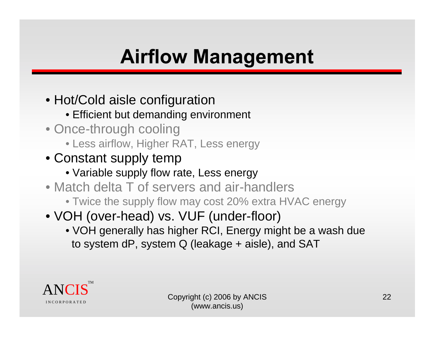# **Airflow Management**

- Hot/Cold aisle configuration
	- Efficient but demanding environment
- Once-through cooling
	- Less airflow, Higher RAT, Less energy
- Constant supply temp
	- Variable supply flow rate, Less energy
- Match delta T of servers and air-handlers
	- Twice the supply flow may cost 20% extra HVAC energy
- VOH (over-head) vs. VUF (under-floor)
	- VOH generally has higher RCI, Energy might be a wash due to system dP, system Q (leakage + aisle), and SAT

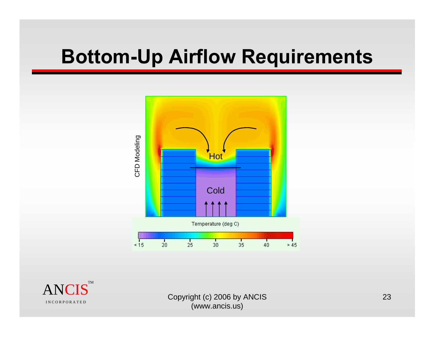#### **Bottom-Up Airflow Requirements**



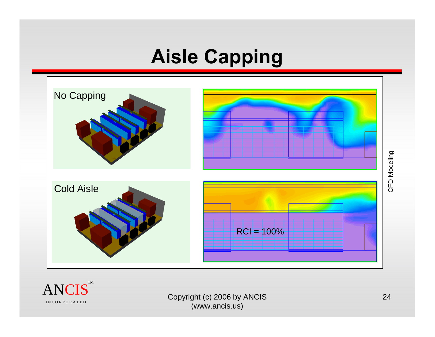# **Aisle Capping**



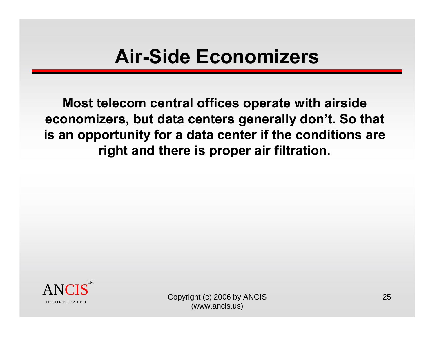#### **Air-Side Economizers**

**Most telecom central offices operate with airside economizers, but data centers generally don't. So that is an opportunity for a data center if the conditions are right and there is proper air filtration.** 

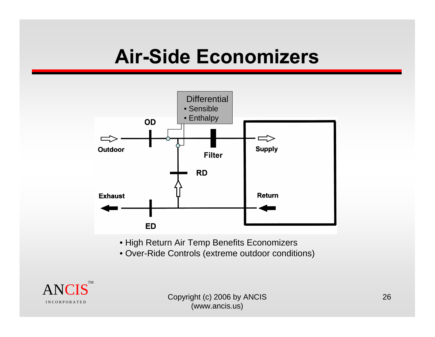### **Air-Side Economizers**



- High Return Air Temp Benefits Economizers
- Over-Ride Controls (extreme outdoor conditions)

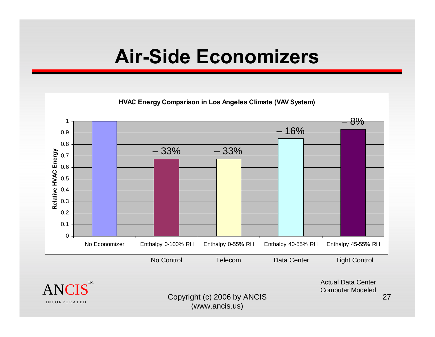#### **Air-Side Economizers**



Copyright (c) 2006 by ANCIS (www.ancis.us)

I N C O R P O R A T E D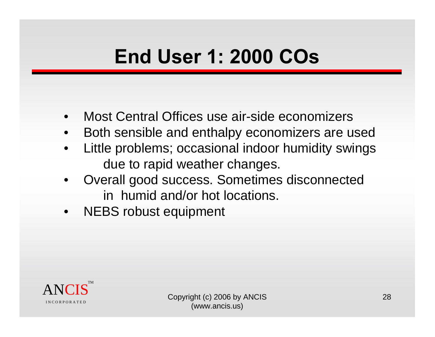# **End User 1: 2000 COs**

- •Most Central Offices use air-side economizers
- •Both sensible and enthalpy economizers are used
- • Little problems; occasional indoor humidity swings due to rapid weather changes.
- • Overall good success. Sometimes disconnected in humid and/or hot locations.
- NEBS robust equipment

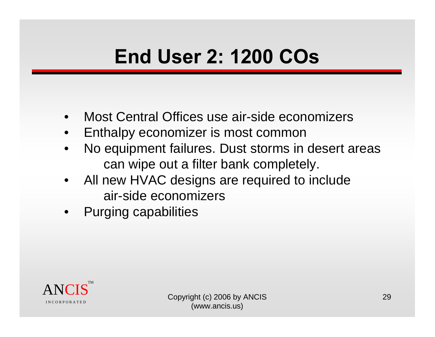# **End User 2: 1200 COs**

- •Most Central Offices use air-side economizers
- •Enthalpy economizer is most common
- • No equipment failures. Dust storms in desert areas can wipe out a filter bank completely.
- • All new HVAC designs are required to include air-side economizers
- •Purging capabilities

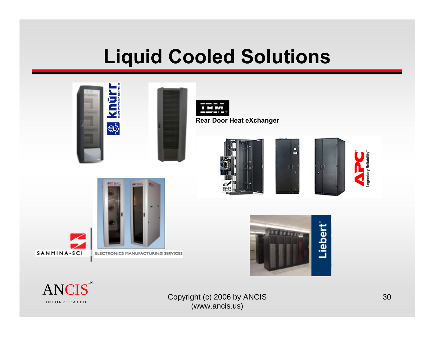### **Liquid Cooled Solutions**





**Rear Door Heat eXchanger**







Liebert

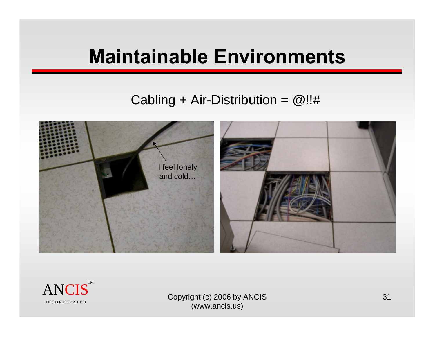### **Maintainable Environments**

#### Cabling + Air-Distribution =  $@!!#$



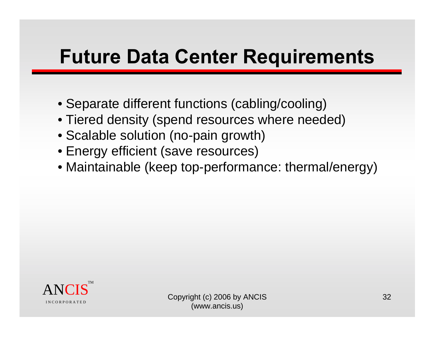### **Future Data Center Requirements**

- Separate different functions (cabling/cooling)
- Tiered density (spend resources where needed)
- Scalable solution (no-pain growth)
- Energy efficient (save resources)
- Maintainable (keep top-performance: thermal/energy)

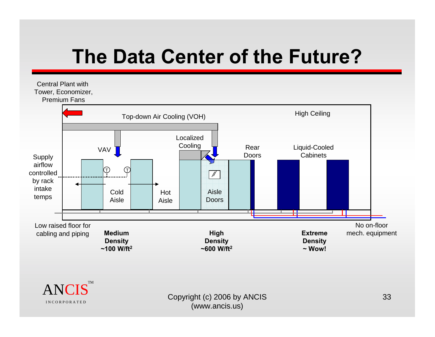# **The Data Center of the Future?**

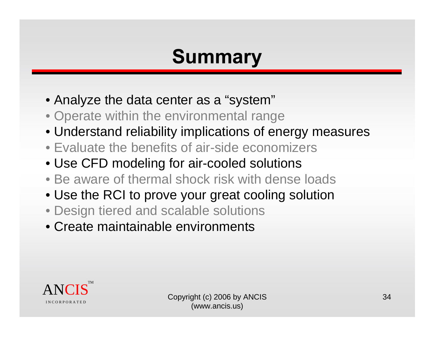# **Summary**

- Analyze the data center as a "system"
- Operate within the environmental range
- Understand reliability implications of energy measures
- Evaluate the benefits of air-side economizers
- Use CFD modeling for air-cooled solutions
- Be aware of thermal shock risk with dense loads
- Use the RCI to prove your great cooling solution
- Design tiered and scalable solutions
- Create maintainable environments